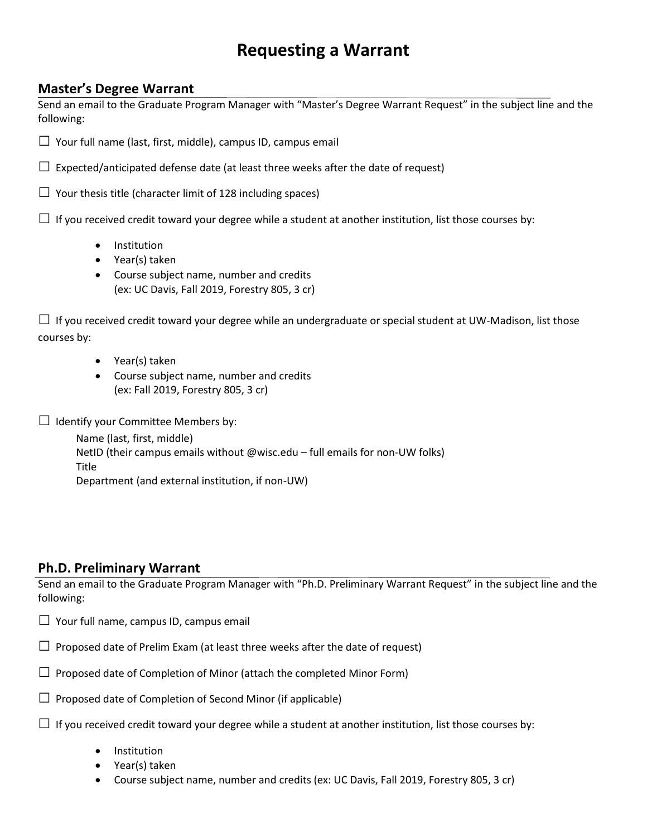## **Requesting a Warrant**

## **Master's Degree Warrant**

Send an email to the Graduate Program Manager with "Master's Degree Warrant Request" in the subject line and the following:

 $\Box$  Your full name (last, first, middle), campus ID, campus email

 $\Box$  Expected/anticipated defense date (at least three weeks after the date of request)

 $\Box$  Your thesis title (character limit of 128 including spaces)

 $\Box$  If you received credit toward your degree while a student at another institution, list those courses by:

- Institution
- Year(s) taken
- Course subject name, number and credits (ex: UC Davis, Fall 2019, Forestry 805, 3 cr)

 $\Box$  If you received credit toward your degree while an undergraduate or special student at UW-Madison, list those courses by:

- Year(s) taken
- Course subject name, number and credits (ex: Fall 2019, Forestry 805, 3 cr)

 $\Box$  Identify your Committee Members by:

Name (last, first, middle) NetID (their campus emails without @wisc.edu – full emails for non-UW folks) Title Department (and external institution, if non-UW)

## **Ph.D. Preliminary Warrant**

Send an email to the Graduate Program Manager with "Ph.D. Preliminary Warrant Request" in the subject line and the following:

- $\Box$  Your full name, campus ID, campus email
- $\Box$  Proposed date of Prelim Exam (at least three weeks after the date of request)
- $\Box$  Proposed date of Completion of Minor (attach the completed Minor Form)
- $\Box$  Proposed date of Completion of Second Minor (if applicable)
- $\Box$  If you received credit toward your degree while a student at another institution, list those courses by:
	- Institution
	- Year(s) taken
	- Course subject name, number and credits (ex: UC Davis, Fall 2019, Forestry 805, 3 cr)